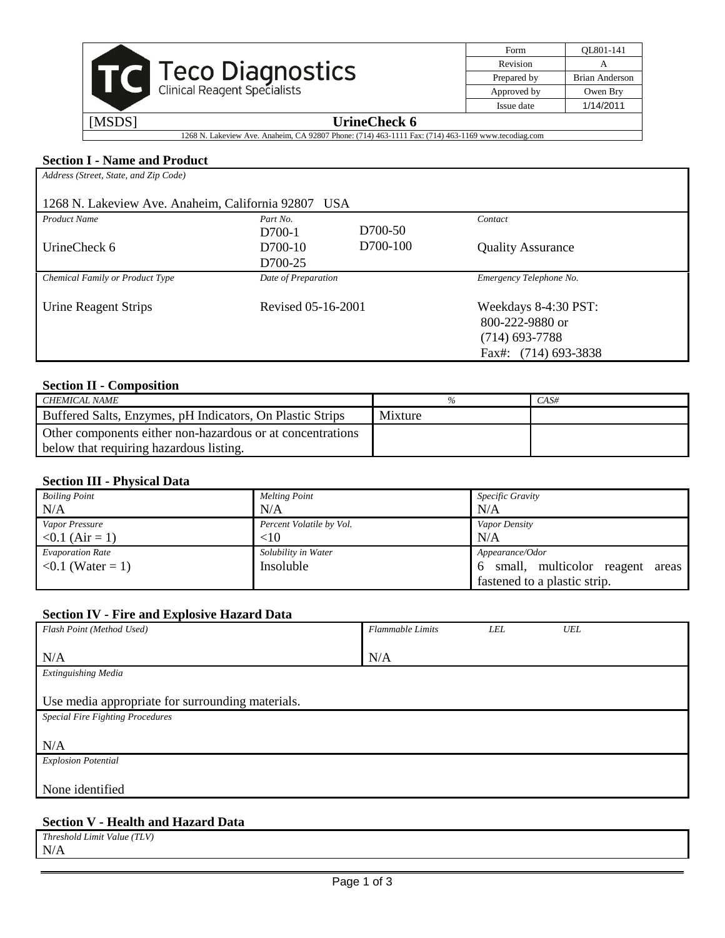|        | <b>Teco Diagnostics</b><br>Clinical Reagent Specialists |
|--------|---------------------------------------------------------|
| [MSDS] | <b>UrineCheck 6</b>                                     |

| Form        | OL801-141             |
|-------------|-----------------------|
| Revision    |                       |
| Prepared by | <b>Brian Anderson</b> |
| Approved by | Owen Bry              |
| Issue date  | 1/14/2011             |
|             |                       |

1268 N. Lakeview Ave. Anaheim, CA 92807 Phone: (714) 463-1111 Fax: (714) 463-1169 www.tecodiag.com

#### **Section I - Name and Product**

| Address (Street, State, and Zip Code)                  |                     |          |                          |  |
|--------------------------------------------------------|---------------------|----------|--------------------------|--|
| 1268 N. Lakeview Ave. Anaheim, California 92807<br>USA |                     |          |                          |  |
| <b>Product Name</b>                                    | Part No.            |          | Contact                  |  |
|                                                        | $D700-1$            | D700-50  |                          |  |
| UrineCheck 6                                           | D700-10             | D700-100 | <b>Quality Assurance</b> |  |
|                                                        | D700-25             |          |                          |  |
| Chemical Family or Product Type                        | Date of Preparation |          | Emergency Telephone No.  |  |
|                                                        |                     |          |                          |  |
| <b>Urine Reagent Strips</b>                            | Revised 05-16-2001  |          | Weekdays 8-4:30 PST:     |  |
|                                                        |                     |          | 800-222-9880 or          |  |
|                                                        |                     |          | $(714)$ 693-7788         |  |
|                                                        |                     |          | Fax#: (714) 693-3838     |  |

# **Section II - Composition**

| CHEMICAL NAME                                              | %       | $CAS\#$ |
|------------------------------------------------------------|---------|---------|
| Buffered Salts, Enzymes, pH Indicators, On Plastic Strips  | Mixture |         |
| Other components either non-hazardous or at concentrations |         |         |
| below that requiring hazardous listing.                    |         |         |

#### **Section III - Physical Data**

| <b>Boiling Point</b>    | <b>Melting Point</b>     | Specific Gravity                        |
|-------------------------|--------------------------|-----------------------------------------|
| N/A                     | N/A                      | N/A                                     |
| Vapor Pressure          | Percent Volatile by Vol. | Vapor Density                           |
| $< 0.1$ (Air = 1)       | <10                      | N/A                                     |
| <b>Evaporation Rate</b> | Solubility in Water      | Appearance/Odor                         |
| $0.1$ (Water = 1)       | Insoluble                | small, multicolor reagent<br>areas<br>6 |
|                         |                          | fastened to a plastic strip.            |

## **Section IV - Fire and Explosive Hazard Data**

| Flash Point (Method Used)                        | <b>Flammable Limits</b> | <b>LEL</b> | UEL |
|--------------------------------------------------|-------------------------|------------|-----|
|                                                  |                         |            |     |
| N/A                                              | N/A                     |            |     |
| <b>Extinguishing Media</b>                       |                         |            |     |
|                                                  |                         |            |     |
| Use media appropriate for surrounding materials. |                         |            |     |
| <b>Special Fire Fighting Procedures</b>          |                         |            |     |
|                                                  |                         |            |     |
| N/A                                              |                         |            |     |
| <b>Explosion Potential</b>                       |                         |            |     |
|                                                  |                         |            |     |
| None identified                                  |                         |            |     |
|                                                  |                         |            |     |

# **Section V - Health and Hazard Data**

| (TLV)<br>Threshold Limit Value ( |  |
|----------------------------------|--|
| N/A                              |  |
|                                  |  |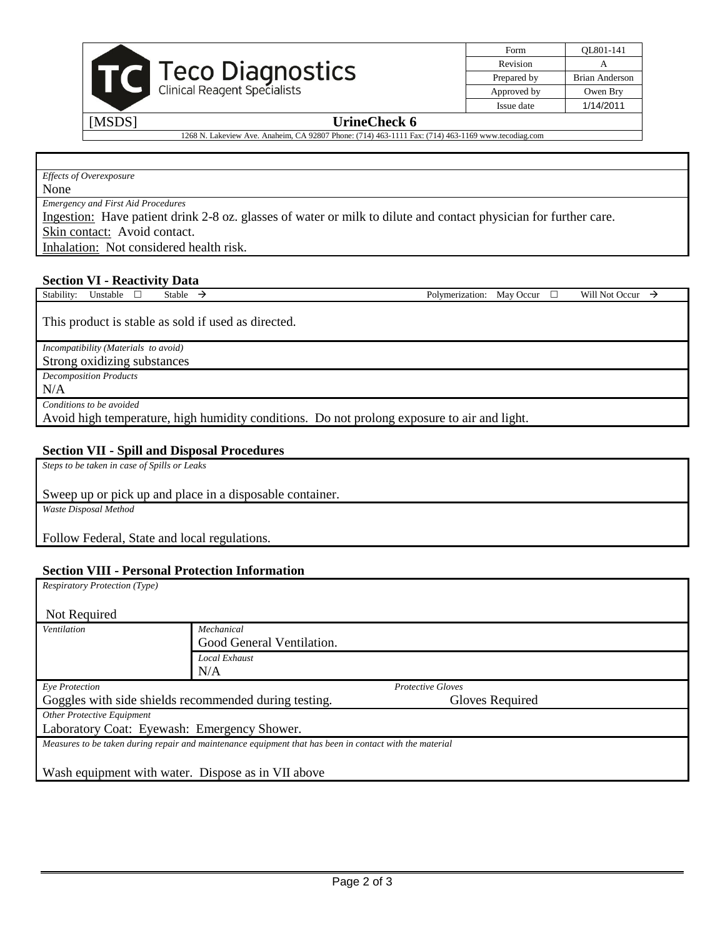

|  | Form        | OL801-141             |
|--|-------------|-----------------------|
|  | Revision    |                       |
|  | Prepared by | <b>Brian Anderson</b> |
|  | Approved by | Owen Bry              |
|  | Issue date  | 1/14/2011             |

#### [MSDS] **UrineCheck 6**

1268 N. Lakeview Ave. Anaheim, CA 92807 Phone: (714) 463-1111 Fax: (714) 463-1169 www.tecodiag.com

*Effects of Overexposure*

None

*Emergency and First Aid Procedures*

Ingestion: Have patient drink 2-8 oz. glasses of water or milk to dilute and contact physician for further care. Skin contact: Avoid contact.

Inhalation: Not considered health risk.

#### **Section VI - Reactivity Data**

Stability: Unstable • Stable  $\rightarrow$  Polymerization: May Occur • Will Not Occur  $\rightarrow$ 

This product is stable as sold if used as directed.

*Incompatibility (Materials to avoid)*

Strong oxidizing substances

*Decomposition Products*

N/A

*Conditions to be avoided*

Avoid high temperature, high humidity conditions. Do not prolong exposure to air and light.

#### **Section VII - Spill and Disposal Procedures**

*Steps to be taken in case of Spills or Leaks*

Sweep up or pick up and place in a disposable container.

*Waste Disposal Method*

Follow Federal, State and local regulations.

#### **Section VIII - Personal Protection Information**

| <b>Respiratory Protection (Type)</b>                                                                    |                           |                          |  |
|---------------------------------------------------------------------------------------------------------|---------------------------|--------------------------|--|
| Not Required                                                                                            |                           |                          |  |
| Ventilation                                                                                             | Mechanical                |                          |  |
|                                                                                                         | Good General Ventilation. |                          |  |
|                                                                                                         | Local Exhaust             |                          |  |
|                                                                                                         | N/A                       |                          |  |
| Eye Protection                                                                                          |                           | <b>Protective Gloves</b> |  |
| Goggles with side shields recommended during testing.<br>Gloves Required                                |                           |                          |  |
| <b>Other Protective Equipment</b>                                                                       |                           |                          |  |
| Laboratory Coat: Eyewash: Emergency Shower.                                                             |                           |                          |  |
| Measures to be taken during repair and maintenance equipment that has been in contact with the material |                           |                          |  |
|                                                                                                         |                           |                          |  |
| Wash equipment with water. Dispose as in VII above                                                      |                           |                          |  |